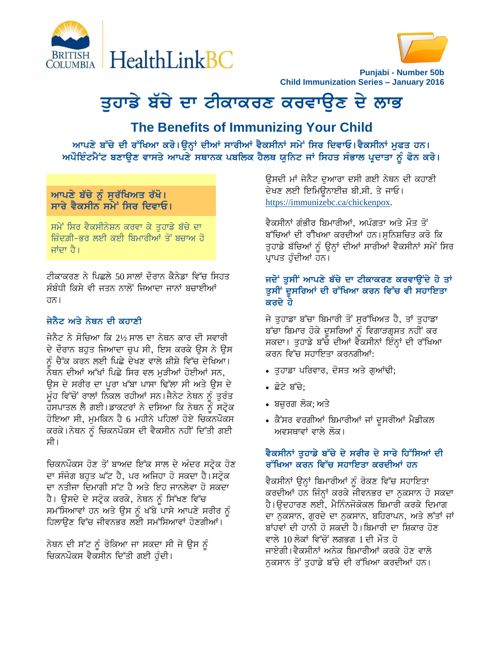



Punjabi - Number 50b **Child Immunization Series - January 2016** 

# ਤੁਹਾਡੇ ਬੱਚੇ ਦਾ ਟੀਕਾਕਰਣ ਕਰਵਾਉਣ ਦੇ ਲਾਭ

# **The Benefits of Immunizing Your Child**

ਆਪਣੇ ਬੱਚੇ ਦੀ ਰੱਖਿਆ ਕਰੋ।ਉਨ੍ਹਾਂ ਦੀਆਂ ਸਾਰੀਆਂ ਵੈਕਸੀਨਾਂ ਸਮੇਂ ਸਿਰ ਦਿਵਾਓ।ਵੈਕਸੀਨਾਂ ਮੁਫਤ ਹਨ। ਅਪੋਇੰਟਮੈਂਟ ਬਣਾਉਣ ਵਾਸਤੇ ਆਪਣੇ ਸਥਾਨਕ ਪਬਲਿਕ ਹੈਲਥ ਯੂਨਿਟ ਜਾਂ ਸਿਹਤ ਸੰਭਾਲ ਪ੍ਰਦਾਤਾ ਨੂੰ ਫੋਨ ਕਰੋ।

#### ਆਪਣੇ ਬੱਚੇ ਨੂੰ ਸੁਰੱਖਿਅਤ ਰੱਖੋ। ਸਾਰੇ ਵੈਕਸੀਨ ਸਮੇਂ ਸਿਰ ਦਿਵਾਓ।

ਸਮੇਂ ਸਿਰ ਵੈਕਸੀਨੇਸ਼ਨ ਕਰਵਾ ਕੇ ਤੁਹਾਡੇ ਬੱਚੇ ਦਾ ਜ਼ਿੰਦਗ਼ੀ-ਭਰ ਲਈ ਕਈ ਬਿਮਾਰੀਆਂ ਤੋਂ ਬਚਾਅ ਹੋ ਜਾਂਦਾ ਹੈ।

ਟੀਕਾਕਰਣ ਨੇ ਪਿਛਲੇ 50 ਸਾਲਾਂ ਦੌਰਾਨ ਕੈਨੇਡਾ ਵਿੱਚ ਸਿਹਤ ਸੰਬੰਧੀ ਕਿਸੇ ਵੀ ਜਤਨ ਨਾਲੋਂ ਜਿਆਦਾ ਜਾਨਾਂ ਬਚਾਈਆਂ ਹਨ।

## ਜੇਨੈਟ ਅਤੇ ਨੇਥਨ ਦੀ ਕਹਾਣੀ

ਜੇਨੈਟ ਨੇ ਸੋਚਿਆ ਕਿ 2½ ਸਾਲ ਦਾ ਨੇਥਨ ਕਾਰ ਦੀ ਸਵਾਰੀ ਦੇ ਦੌਰਾਨ ਬਹੁਤ ਜਿਆਦਾ ਚਪ ਸੀ, ਇਸ ਕਰਕੇ ਉਸ ਨੇ ਉਸ ਨੂੰ ਚੈੱਕ ਕਰਨ ਲਈ ਪਿਛੇ ਦੇਖਣ ਵਾਲੇ ਸ਼ੀਸ਼ੇ ਵਿੱਚ ਦੇਖਿਆ। ਨੇਥਨ ਦੀਆਂ ਆੱਖਾਂ ਪਿਛੇ ਸਿਰ ਵਲ ਮੜੀਆਂ ਹੋਈਆਂ ਸਨ, ਉਸ ਦੇ ਸਰੀਰ ਦਾ ਪੁਰਾ ਖੱਬਾ ਪਾਸਾ ਢਿੱਲਾ ਸੀ ਅਤੇ ਉਸ ਦੇ ਮੁੰਹ ਵਿੱਚੋਂ ਰਾਲਾਂ ਨਿੱਕਲ ਰਹੀਆਂ ਸਨ।ਜੈਨੇਟ ਨੇਥਨ ਨੂੰ ਤੁਰੰਤ ਹਸਪਾਤਲ ਲੈ ਗਈ।ਡਾਕਟਰਾਂ ਨੇ ਦਸਿਆ ਕਿ ਨੇਥਨ ਨੂੰ ਸਟ੍ਰੋਕ ਹੋਇਆ ਸੀ, ਮਮਕਿਨ ਹੈ 6 ਮਹੀਨੇ ਪਹਿਲਾਂ ਹੋਏ ਚਿਕਨਪੌਕਸ ਕਰਕੇ।ਨੇਥਨ ਨੂੰ ਚਿਕਨਪੌਕਸ ਦੀ ਵੈਕਸੀਨ ਨਹੀਂ ਦਿੱਤੀ ਗਈ ਸੀ।

ਚਿਕਨਪੌਕਸ ਹੋਣ ਤੋਂ ਬਾਅਦ ਇੱਕ ਸਾਲ ਦੇ ਅੰਦਰ ਸਟ੍ਰੋਕ ਹੋਣ ਦਾ ਸੰਜੋਗ ਬਹਤ ਘੱਟ ਹੈ, ਪਰ ਅਜਿਹਾ ਹੋ ਸਕਦਾ ਹੈ।ਸਟੋਕ ਦਾ ਨਤੀਜਾ ਦਿਮਾਗੀ ਸੱਟ ਹੈ ਅਤੇ ਇਹ ਜਾਨਲੇਵਾ ਹੋ ਸਕਦਾ ਹੈ। ਉਸਦੇ ਦੇ ਸਟ੍ਰੋਕ ਕਰਕੇ, ਨੇਥਨ ਨੂੰ ਸਿੱਖਣ ਵਿੱਚ ਸਮੱਸਿਆਵਾਂ ਹਨ ਅਤੇ ਉਸ ਨੂੰ ਖੱਬੇ ਪਾਸੇ ਆਪਣੇ ਸਰੀਰ ਨੂੰ ਹਿਲਾੳਣ ਵਿੱਚ ਜੀਵਨਭਰ ਲਈ ਸਮੱਸਿਆਵਾਂ ਹੋਣਗੀਆਂ।

ਨੇਥਨ ਦੀ ਸੱਟ ਨੂੰ ਰੋਕਿਆ ਜਾ ਸਕਦਾ ਸੀ ਜੇ ਉਸ ਨੂੰ ਚਿਕਨਪੌਕਸ ਵੈਕਸੀਨ ਦਿੱਤੀ ਗਈ ਹੰਦੀ।

ਓਸਦੀ ਮਾਂ ਜੇਨੈਟ ਦਆਰਾ ਦਸੀ ਗਈ ਨੇਥਨ ਦੀ ਕਹਾਣੀ ਦੇਖਣ ਲਈ ਇਮਿਊਨਾਈਜ਼ ਬੀ.ਸੀ. ਤੇ ਜਾਓ। https://immunizebc.ca/chickenpox.

ਵੈਕਸੀਨਾਂ ਗੰਭੀਰ ਬਿਮਾਰੀਆਂ, ਅਪੰਗਤਾ ਅਤੇ ਮੌਤ ਤੋਂ ਬੱਚਿਆਂ ਦੀ ਰੀਖਆ ਕਰਦੀਆਂ ਹਨ।ਸੁਨਿਸ਼ਚਿਤ ਕਰੋ ਕਿ ਤੁਹਾਡੇ ਬੱਚਿਆਂ ਨੂੰ ਉਨ੍ਹਾਂ ਦੀਆਂ ਸਾਰੀਆਂ ਵੈਕਸੀਨਾਂ ਸਮੇਂ ਸਿਰ ਪ੍ਰਾਪਤ ਹੁੰਦੀਆਂ ਹਨ।

#### ਜਦੋਂ ਤੁਸੀਂ ਆਪਣੇ ਬੱਚੇ ਦਾ ਟੀਕਾਕਰਣ ਕਰਵਾਉਂਦੇ ਹੋ ਤਾਂ ਤੁਸੀਂ ਦੂਸਰਿਆਂ ਦੀ ਰੱਖਿਆ ਕਰਨ ਵਿੱਚ ਵੀ ਸਹਾਇਤਾ ਕਰਦੇ ਹੋ

ਜੇ ਤੁਹਾਡਾ ਬੱਚਾ ਬਿਮਾਰੀ ਤੋਂ ਸੁਰੱਖਿਅਤ ਹੈ, ਤਾਂ ਤੁਹਾਡਾ ਬੱਚਾ ਬਿਮਾਰ ਹੋਕੇ ਦੁਸਰਿਆਂ ਨੂੰ ਵਿਗਾੜਗ੍ਰਸਤ ਨਹੀਂ ਕਰ ਸਕਦਾ। ਤੁਹਾਡੇ ਬੱਚੇ ਦੀਆਂ ਵੈਕਸੀਨਾਂ ਇੰਨ੍ਹਾਂ ਦੀ ਰੱਖਿਆ ਕਰਨ ਵਿੱਚ ਸਹਾਇਤਾ ਕਰਨਗੀਆਂ:

- ਤੁਹਾਡਾ ਪਰਿਵਾਰ, ਦੋਸਤ ਅਤੇ ਗੁਆਂਢੀ;
- ਛੋਟੇ ਬੱਚੇ:
- ∙ ਬਜ਼ਰਗ ਲੋਕ; ਅਤੇ
- ਕੈਂਸਰ ਵਰਗੀਆਂ ਬਿਮਾਰੀਆਂ ਜਾਂ ਦੂਸਰੀਆਂ ਮੈਡੀਕਲ ਅਵਸਥਾਵਾਂ ਵਾਲੇ ਲੋਕ।

#### ਵੈਕਸੀਨਾਂ ਤਹਾਡੇ ਬੱਚੇ ਦੇ ਸਰੀਰ ਦੇ ਸਾਰੇ ਹਿੱਸਿਆਂ ਦੀ ਰੱਖਿਆ ਕਰਨ ਵਿੱਚ ਸਹਾਇਤਾ ਕਰਦੀਆਂ ਹਨ

ਵੈਕਸੀਨਾਂ ਉਨ੍ਹਾਂ ਬਿਮਾਰੀਆਂ ਨੂੰ ਰੋਕਣ ਵਿੱਚ ਸਹਾਇਤਾ ਕਰਦੀਆਂ ਹਨ ਜਿੰਨ੍ਹਾਂ ਕਰਕੇ ਜੀਵਨਭਰ ਦਾ ਨੁਕਸਾਨ ਹੋ ਸਕਦਾ ਹੈ।ਉਦਹਾਰਣ ਲਈ, ਮੈਨਿੰਨਜੋਕੋਕਲ ਬਿਮਾਰੀ ਕਰਕੇ ਦਿਮਾਗ ਦਾ ਨੁਕਸਾਨ, ਗੁਰਦੇ ਦਾ ਨੁਕਸਾਨ, ਬਹਿਰਾਪਨ, ਅਤੇ ਲੱਤਾਂ ਜਾਂ ਬਾਂਹਵਾਂ ਦੀ ਹਾਨੀ ਹੋ ਸਕਦੀ ਹੈ।ਬਿਮਾਰੀ ਦਾ ਸ਼ਿਕਾਰ ਹੋਣ ਵਾਲੇ 10 ਲੋਕਾਂ ਵਿੱਚੋਂ ਲਗਭਗ 1 ਦੀ ਮੌਤ ਹੋ ਜਾਏਗੀ।ਵੈਕਸੀਨਾਂ ਅਨੇਕ ਬਿਮਾਰੀਆਂ ਕਰਕੇ ਹੋਣ ਵਾਲੇ ਨਕਸਾਨ ਤੋਂ ਤਹਾਡੇ ਬੱਚੇ ਦੀ ਰੱਖਿਆ ਕਰਦੀਆਂ ਹਨ।